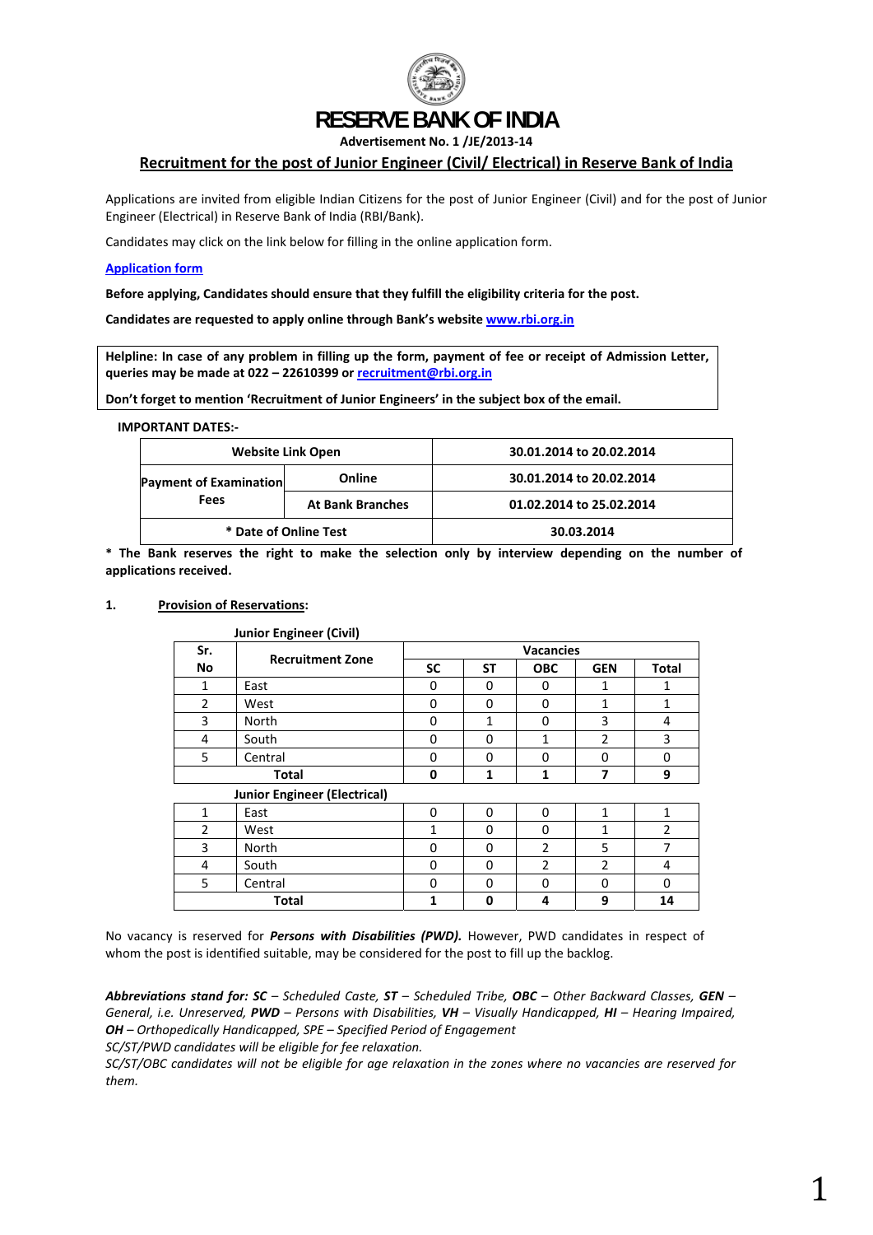

# **RESERVE BANK OF INDIA**

**Advertisement No. 1 /JE/2013‐14**

# **Recruitment for the post of Junior Engineer (Civil/ Electrical) in Reserve Bank of India**

Applications are invited from eligible Indian Citizens for the post of Junior Engineer (Civil) and for the post of Junior Engineer (Electrical) in Reserve Bank of India (RBI/Bank).

Candidates may click on the link below for filling in the online application form.

#### **[Application](http://ibpsreg.sifyitest.com/rbijejan14/) form**

**Before applying, Candidates should ensure that they fulfill the eligibility criteria for the post.** 

**Candidates are requested to apply online through Bank's website [www.rbi.org.in](http://www.rbi.org.in/)**

Helpline: In case of any problem in filling up the form, payment of fee or receipt of Admission Letter, **queries may be made at 022 – 22610399 or [recruitment@rbi.org.in](mailto:recruitment@rbi.org.in)** 

**Don't forget to mention 'Recruitment of Junior Engineers' in the subject box of the email.** 

**IMPORTANT DATES:‐** 

|                               | <b>Website Link Open</b> | 30.01.2014 to 20.02.2014 |
|-------------------------------|--------------------------|--------------------------|
| <b>Payment of Examination</b> | Online                   | 30.01.2014 to 20.02.2014 |
| <b>Fees</b>                   | <b>At Bank Branches</b>  | 01.02.2014 to 25.02.2014 |
| * Date of Online Test         |                          | 30.03.2014               |

**\* The Bank reserves the right to make the selection only by interview depending on the number of applications received.**

#### **1. Provision of Reservations:**

| Sr.                                 | ັ<br><b>Recruitment Zone</b> | <b>Vacancies</b> |              |                |                |              |  |
|-------------------------------------|------------------------------|------------------|--------------|----------------|----------------|--------------|--|
| <b>No</b>                           |                              | <b>SC</b>        | <b>ST</b>    | <b>OBC</b>     | <b>GEN</b>     | <b>Total</b> |  |
| 1                                   | East                         | 0                | 0            | 0              | $\mathbf{1}$   | 1            |  |
| $\overline{2}$                      | West                         | 0                | $\Omega$     | 0              | $\mathbf{1}$   | 1            |  |
| 3                                   | North                        | 0                | $\mathbf{1}$ | 0              | 3              | 4            |  |
| 4                                   | South                        | 0                | 0            | 1              | 2              | 3            |  |
| 5                                   | Central                      | 0                | $\Omega$     | $\Omega$       | 0              | 0            |  |
| <b>Total</b>                        |                              | 0                | 1            | 1              | 7              | 9            |  |
| <b>Junior Engineer (Electrical)</b> |                              |                  |              |                |                |              |  |
| $\mathbf{1}$                        | East                         | 0                | $\Omega$     | $\Omega$       | $\mathbf{1}$   | 1            |  |
| 2                                   | West                         | $\mathbf{1}$     | $\Omega$     | 0              | $\mathbf{1}$   | 2            |  |
| 3                                   | North                        |                  | $\Omega$     | $\overline{2}$ | 5              | 7            |  |
| 4                                   | South                        | 0                | $\Omega$     | $\overline{2}$ | $\overline{2}$ | 4            |  |
| 5                                   | Central                      |                  | 0            | 0              | 0              | 0            |  |
|                                     | <b>Total</b>                 | $\mathbf{1}$     | 0            | 4              | 9              | 14           |  |

**Junior Engineer (Civil)**

No vacancy is reserved for *Persons with Disabilities (PWD).* However, PWD candidates in respect of whom the post is identified suitable, may be considered for the post to fill up the backlog.

Abbreviations stand for: SC - Scheduled Caste, ST - Scheduled Tribe, OBC - Other Backward Classes, GEN -*General, i.e. Unreserved, PWD – Persons with Disabilities, VH – Visually Handicapped, HI – Hearing Impaired, OH – Orthopedically Handicapped, SPE – Specified Period of Engagement SC/ST/PWD candidates will be eligible for fee relaxation.* 

SC/ST/OBC candidates will not be eligible for age relaxation in the zones where no vacancies are reserved for *them.*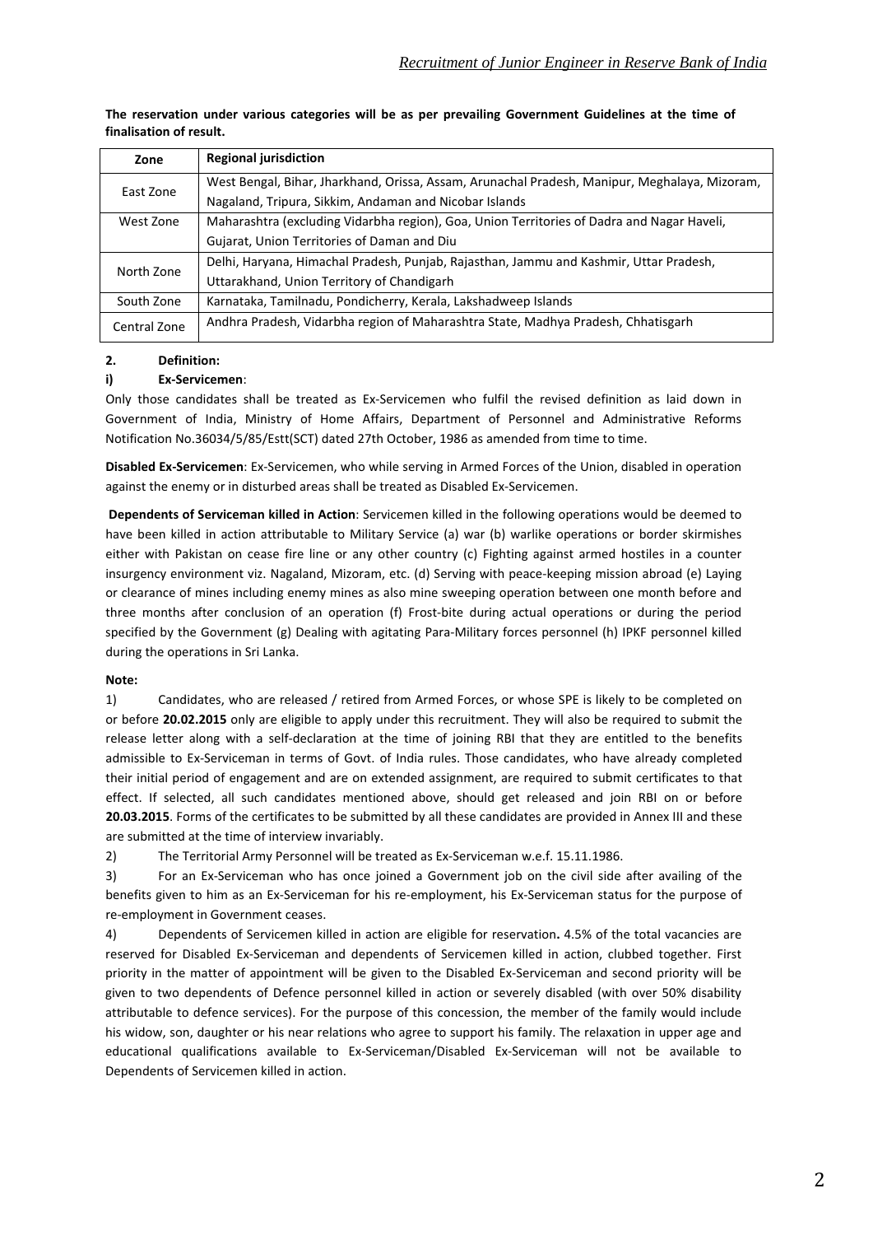| Zone         | <b>Regional jurisdiction</b>                                                                  |  |
|--------------|-----------------------------------------------------------------------------------------------|--|
| East Zone    | West Bengal, Bihar, Jharkhand, Orissa, Assam, Arunachal Pradesh, Manipur, Meghalaya, Mizoram, |  |
|              | Nagaland, Tripura, Sikkim, Andaman and Nicobar Islands                                        |  |
| West Zone    | Maharashtra (excluding Vidarbha region), Goa, Union Territories of Dadra and Nagar Haveli,    |  |
|              | Gujarat, Union Territories of Daman and Diu                                                   |  |
| North Zone   | Delhi, Haryana, Himachal Pradesh, Punjab, Rajasthan, Jammu and Kashmir, Uttar Pradesh,        |  |
|              | Uttarakhand, Union Territory of Chandigarh                                                    |  |
| South Zone   | Karnataka, Tamilnadu, Pondicherry, Kerala, Lakshadweep Islands                                |  |
| Central Zone | Andhra Pradesh, Vidarbha region of Maharashtra State, Madhya Pradesh, Chhatisgarh             |  |

# **The reservation under various categories will be as per prevailing Government Guidelines at the time of finalisation of result.**

# **2. Definition:**

# **i) Ex‐Servicemen**:

Only those candidates shall be treated as Ex‐Servicemen who fulfil the revised definition as laid down in Government of India, Ministry of Home Affairs, Department of Personnel and Administrative Reforms Notification No.36034/5/85/Estt(SCT) dated 27th October, 1986 as amended from time to time.

**Disabled Ex‐Servicemen**: Ex‐Servicemen, who while serving in Armed Forces of the Union, disabled in operation against the enemy or in disturbed areas shall be treated as Disabled Ex‐Servicemen.

**Dependents of Serviceman killed in Action**: Servicemen killed in the following operations would be deemed to have been killed in action attributable to Military Service (a) war (b) warlike operations or border skirmishes either with Pakistan on cease fire line or any other country (c) Fighting against armed hostiles in a counter insurgency environment viz. Nagaland, Mizoram, etc. (d) Serving with peace‐keeping mission abroad (e) Laying or clearance of mines including enemy mines as also mine sweeping operation between one month before and three months after conclusion of an operation (f) Frost‐bite during actual operations or during the period specified by the Government (g) Dealing with agitating Para-Military forces personnel (h) IPKF personnel killed during the operations in Sri Lanka.

## **Note:**

1) Candidates, who are released / retired from Armed Forces, or whose SPE is likely to be completed on or before **20.02.2015** only are eligible to apply under this recruitment. They will also be required to submit the release letter along with a self‐declaration at the time of joining RBI that they are entitled to the benefits admissible to Ex‐Serviceman in terms of Govt. of India rules. Those candidates, who have already completed their initial period of engagement and are on extended assignment, are required to submit certificates to that effect. If selected, all such candidates mentioned above, should get released and join RBI on or before **20.03.2015**. Forms of the certificates to be submitted by all these candidates are provided in Annex III and these are submitted at the time of interview invariably.

2) The Territorial Army Personnel will be treated as Ex-Serviceman w.e.f. 15.11.1986.

3) For an Ex‐Serviceman who has once joined a Government job on the civil side after availing of the benefits given to him as an Ex-Serviceman for his re-employment, his Ex-Serviceman status for the purpose of re‐employment in Government ceases.

4) Dependents of Servicemen killed in action are eligible for reservation**.** 4.5% of the total vacancies are reserved for Disabled Ex‐Serviceman and dependents of Servicemen killed in action, clubbed together. First priority in the matter of appointment will be given to the Disabled Ex‐Serviceman and second priority will be given to two dependents of Defence personnel killed in action or severely disabled (with over 50% disability attributable to defence services). For the purpose of this concession, the member of the family would include his widow, son, daughter or his near relations who agree to support his family. The relaxation in upper age and educational qualifications available to Ex‐Serviceman/Disabled Ex‐Serviceman will not be available to Dependents of Servicemen killed in action.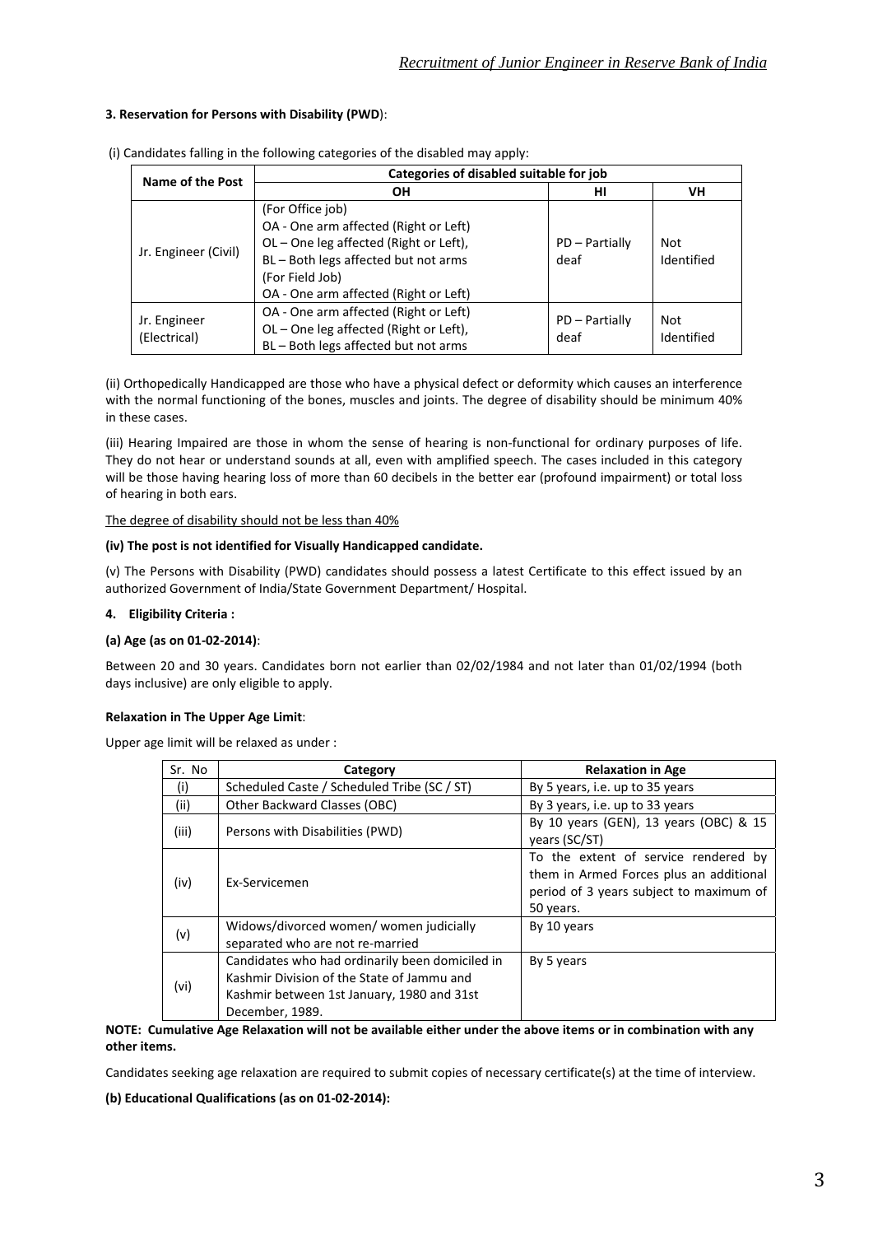# **3. Reservation for Persons with Disability (PWD**):

| Name of the Post             | Categories of disabled suitable for job                                                                                                                                                               |                        |                   |  |  |  |  |
|------------------------------|-------------------------------------------------------------------------------------------------------------------------------------------------------------------------------------------------------|------------------------|-------------------|--|--|--|--|
|                              | <b>OH</b>                                                                                                                                                                                             | нı                     | VH                |  |  |  |  |
| Jr. Engineer (Civil)         | (For Office job)<br>OA - One arm affected (Right or Left)<br>OL-One leg affected (Right or Left),<br>BL - Both legs affected but not arms<br>(For Field Job)<br>OA - One arm affected (Right or Left) | PD - Partially<br>deaf | Not<br>Identified |  |  |  |  |
| Jr. Engineer<br>(Electrical) | OA - One arm affected (Right or Left)<br>OL-One leg affected (Right or Left),<br>BL - Both legs affected but not arms                                                                                 | PD - Partially<br>deaf | Not<br>Identified |  |  |  |  |

(i) Candidates falling in the following categories of the disabled may apply:

(ii) Orthopedically Handicapped are those who have a physical defect or deformity which causes an interference with the normal functioning of the bones, muscles and joints. The degree of disability should be minimum 40% in these cases.

(iii) Hearing Impaired are those in whom the sense of hearing is non-functional for ordinary purposes of life. They do not hear or understand sounds at all, even with amplified speech. The cases included in this category will be those having hearing loss of more than 60 decibels in the better ear (profound impairment) or total loss of hearing in both ears.

The degree of disability should not be less than 40%

#### **(iv) The post is not identified for Visually Handicapped candidate.**

(v) The Persons with Disability (PWD) candidates should possess a latest Certificate to this effect issued by an authorized Government of India/State Government Department/ Hospital.

## **4. Eligibility Criteria :**

## **(a) Age (as on 01‐02‐2014)**:

Between 20 and 30 years. Candidates born not earlier than 02/02/1984 and not later than 01/02/1994 (both days inclusive) are only eligible to apply.

## **Relaxation in The Upper Age Limit**:

Upper age limit will be relaxed as under :

| Sr. No | Category                                                                                                                                                       | <b>Relaxation in Age</b>                                                                                                                |
|--------|----------------------------------------------------------------------------------------------------------------------------------------------------------------|-----------------------------------------------------------------------------------------------------------------------------------------|
| (i)    | Scheduled Caste / Scheduled Tribe (SC / ST)                                                                                                                    | By 5 years, i.e. up to 35 years                                                                                                         |
| (ii)   | Other Backward Classes (OBC)                                                                                                                                   | By 3 years, i.e. up to 33 years                                                                                                         |
| (iii)  | Persons with Disabilities (PWD)                                                                                                                                | By 10 years (GEN), 13 years (OBC) & 15<br>years (SC/ST)                                                                                 |
| (iv)   | Ex-Servicemen                                                                                                                                                  | To the extent of service rendered by<br>them in Armed Forces plus an additional<br>period of 3 years subject to maximum of<br>50 years. |
| (v)    | Widows/divorced women/ women judicially<br>separated who are not re-married                                                                                    | By 10 years                                                                                                                             |
| (vi)   | Candidates who had ordinarily been domiciled in<br>Kashmir Division of the State of Jammu and<br>Kashmir between 1st January, 1980 and 31st<br>December, 1989. | By 5 years                                                                                                                              |

#### NOTE: Cumulative Age Relaxation will not be available either under the above items or in combination with any **other items.**

Candidates seeking age relaxation are required to submit copies of necessary certificate(s) at the time of interview.

## **(b) Educational Qualifications (as on 01‐02‐2014):**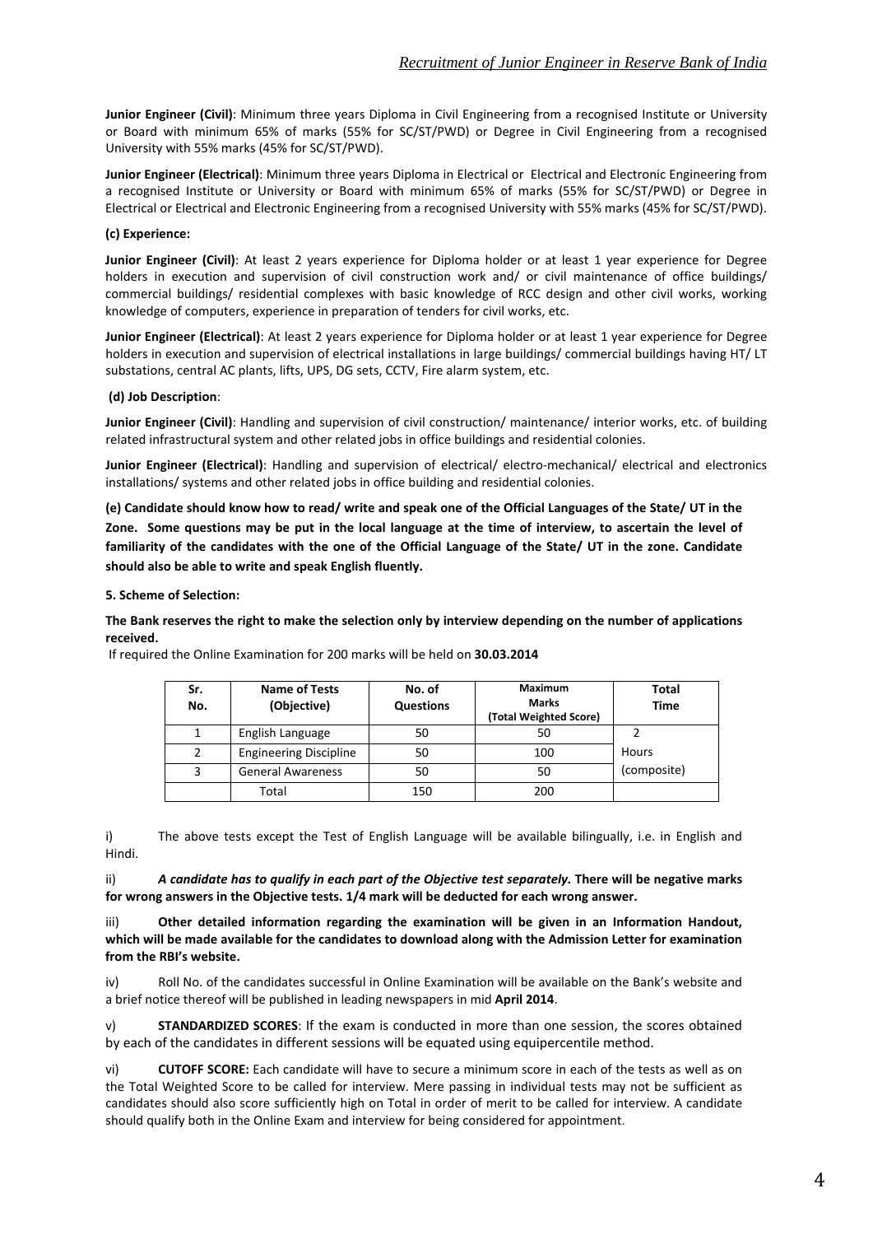**Junior Engineer (Civil)**: Minimum three years Diploma in Civil Engineering from a recognised Institute or University or Board with minimum 65% of marks (55% for SC/ST/PWD) or Degree in Civil Engineering from a recognised University with 55% marks (45% for SC/ST/PWD).

**Junior Engineer (Electrical)**: Minimum three years Diploma in Electrical or Electrical and Electronic Engineering from a recognised Institute or University or Board with minimum 65% of marks (55% for SC/ST/PWD) or Degree in Electrical or Electrical and Electronic Engineering from a recognised University with 55% marks (45% for SC/ST/PWD).

# **(c) Experience:**

**Junior Engineer (Civil)**: At least 2 years experience for Diploma holder or at least 1 year experience for Degree holders in execution and supervision of civil construction work and/ or civil maintenance of office buildings/ commercial buildings/ residential complexes with basic knowledge of RCC design and other civil works, working knowledge of computers, experience in preparation of tenders for civil works, etc.

**Junior Engineer (Electrical)**: At least 2 years experience for Diploma holder or at least 1 year experience for Degree holders in execution and supervision of electrical installations in large buildings/ commercial buildings having HT/ LT substations, central AC plants, lifts, UPS, DG sets, CCTV, Fire alarm system, etc.

## **(d) Job Description**:

**Junior Engineer (Civil)**: Handling and supervision of civil construction/ maintenance/ interior works, etc. of building related infrastructural system and other related jobs in office buildings and residential colonies.

**Junior Engineer (Electrical)**: Handling and supervision of electrical/ electro-mechanical/ electrical and electronics installations/ systems and other related jobs in office building and residential colonies.

(e) Candidate should know how to read/ write and speak one of the Official Languages of the State/ UT in the Zone. Some questions may be put in the local language at the time of interview, to ascertain the level of familiarity of the candidates with the one of the Official Language of the State/ UT in the zone. Candidate **should also be able to write and speak English fluently.** 

**5. Scheme of Selection:**

The Bank reserves the right to make the selection only by interview depending on the number of applications **received.**

| Sr.<br>No. | Name of Tests<br>(Objective)  | No. of<br><b>Questions</b> | <b>Maximum</b><br><b>Marks</b><br>(Total Weighted Score) | <b>Total</b><br>Time |
|------------|-------------------------------|----------------------------|----------------------------------------------------------|----------------------|
|            | English Language              | 50                         | 50                                                       |                      |
|            | <b>Engineering Discipline</b> | 50                         | 100                                                      | Hours                |
|            | <b>General Awareness</b>      | 50                         | 50                                                       | (composite)          |
|            | Total                         | 150                        | 200                                                      |                      |

If required the Online Examination for 200 marks will be held on **30.03.2014**

i) The above tests except the Test of English Language will be available bilingually, i.e. in English and Hindi.

ii) A candidate has to qualify in each part of the Objective test separately. There will be negative marks **for wrong answers in the Objective tests. 1/4 mark will be deducted for each wrong answer.**

iii) **Other detailed information regarding the examination will be given in an Information Handout,** which will be made available for the candidates to download along with the Admission Letter for examination **from the RBI's website.**

iv) Roll No. of the candidates successful in Online Examination will be available on the Bank's website and a brief notice thereof will be published in leading newspapers in mid **April 2014**.

v) **STANDARDIZED SCORES**: If the exam is conducted in more than one session, the scores obtained by each of the candidates in different sessions will be equated using equipercentile method.

vi) **CUTOFF SCORE:** Each candidate will have to secure a minimum score in each of the tests as well as on the Total Weighted Score to be called for interview. Mere passing in individual tests may not be sufficient as candidates should also score sufficiently high on Total in order of merit to be called for interview. A candidate should qualify both in the Online Exam and interview for being considered for appointment.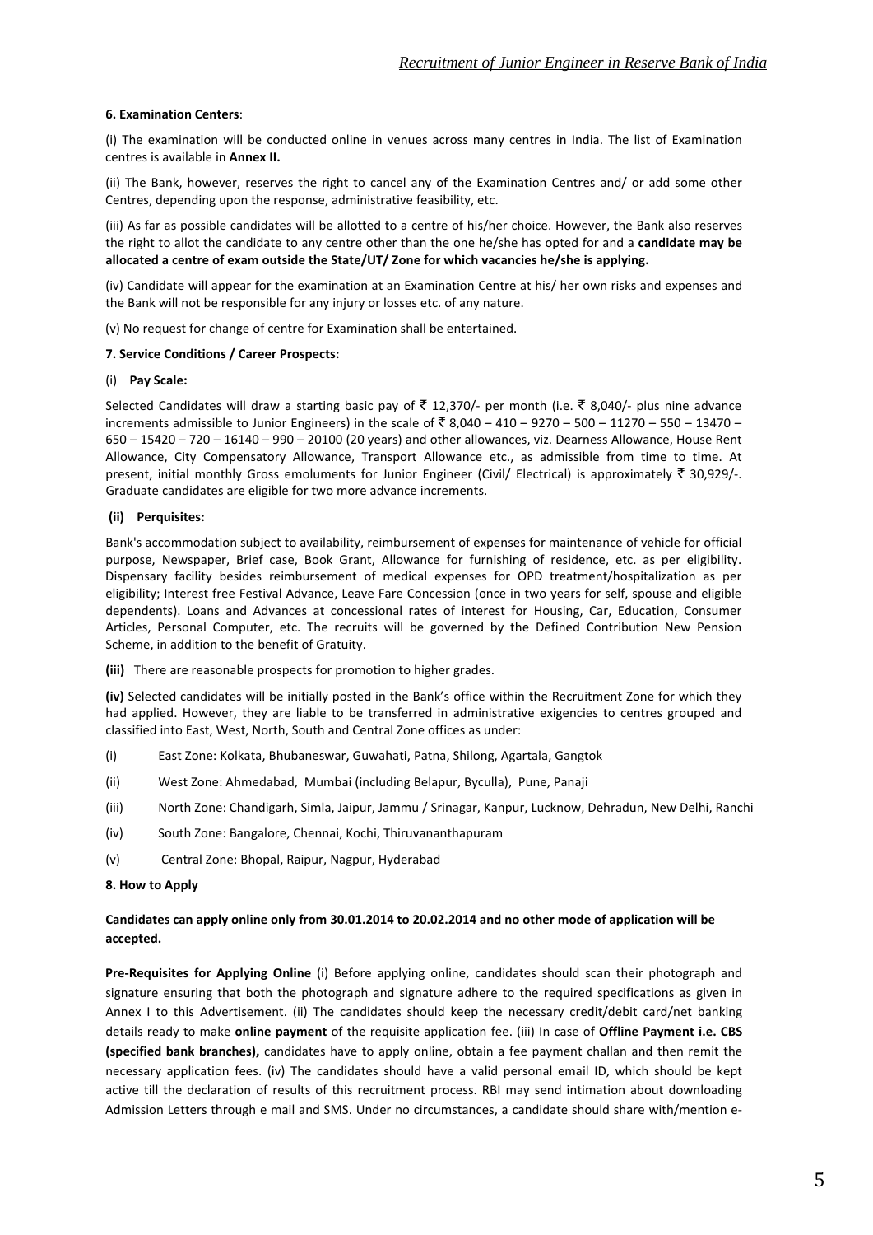#### **6. Examination Centers**:

(i) The examination will be conducted online in venues across many centres in India. The list of Examination centres is available in **Annex II.**

(ii) The Bank, however, reserves the right to cancel any of the Examination Centres and/ or add some other Centres, depending upon the response, administrative feasibility, etc.

(iii) As far as possible candidates will be allotted to a centre of his/her choice. However, the Bank also reserves the right to allot the candidate to any centre other than the one he/she has opted for and a **candidate may be allocated a centre of exam outside the State/UT/ Zone for which vacancies he/she is applying.**

(iv) Candidate will appear for the examination at an Examination Centre at his/ her own risks and expenses and the Bank will not be responsible for any injury or losses etc. of any nature.

(v) No request for change of centre for Examination shall be entertained.

#### **7. Service Conditions / Career Prospects:**

#### (i) **Pay Scale:**

Selected Candidates will draw a starting basic pay of ₹ 12,370/- per month (i.e. ₹ 8,040/- plus nine advance increments admissible to Junior Engineers) in the scale of ₹8,040 – 410 – 9270 – 500 – 11270 – 550 – 13470 – 650 – 15420 – 720 – 16140 – 990 – 20100 (20 years) and other allowances, viz. Dearness Allowance, House Rent Allowance, City Compensatory Allowance, Transport Allowance etc., as admissible from time to time. At present, initial monthly Gross emoluments for Junior Engineer (Civil/ Electrical) is approximately  $\bar{z}$  30,929/-. Graduate candidates are eligible for two more advance increments.

#### **(ii) Perquisites:**

Bank's accommodation subject to availability, reimbursement of expenses for maintenance of vehicle for official purpose, Newspaper, Brief case, Book Grant, Allowance for furnishing of residence, etc. as per eligibility. Dispensary facility besides reimbursement of medical expenses for OPD treatment/hospitalization as per eligibility; Interest free Festival Advance, Leave Fare Concession (once in two years for self, spouse and eligible dependents). Loans and Advances at concessional rates of interest for Housing, Car, Education, Consumer Articles, Personal Computer, etc. The recruits will be governed by the Defined Contribution New Pension Scheme, in addition to the benefit of Gratuity.

**(iii)** There are reasonable prospects for promotion to higher grades.

**(iv)** Selected candidates will be initially posted in the Bank's office within the Recruitment Zone for which they had applied. However, they are liable to be transferred in administrative exigencies to centres grouped and classified into East, West, North, South and Central Zone offices as under:

- (i) East Zone: Kolkata, Bhubaneswar, Guwahati, Patna, Shilong, Agartala, Gangtok
- (ii) West Zone: Ahmedabad, Mumbai (including Belapur, Byculla), Pune, Panaji
- (iii) North Zone: Chandigarh, Simla, Jaipur, Jammu / Srinagar, Kanpur, Lucknow, Dehradun, New Delhi, Ranchi
- (iv) South Zone: Bangalore, Chennai, Kochi, Thiruvananthapuram
- (v) Central Zone: Bhopal, Raipur, Nagpur, Hyderabad

#### **8. How to Apply**

## **Candidates can apply online only from 30.01.2014 to 20.02.2014 and no other mode of application will be accepted.**

**Pre‐Requisites for Applying Online** (i) Before applying online, candidates should scan their photograph and signature ensuring that both the photograph and signature adhere to the required specifications as given in Annex I to this Advertisement. (ii) The candidates should keep the necessary credit/debit card/net banking details ready to make **online payment** of the requisite application fee. (iii) In case of **Offline Payment i.e. CBS (specified bank branches),** candidates have to apply online, obtain a fee payment challan and then remit the necessary application fees. (iv) The candidates should have a valid personal email ID, which should be kept active till the declaration of results of this recruitment process. RBI may send intimation about downloading Admission Letters through e mail and SMS. Under no circumstances, a candidate should share with/mention e‐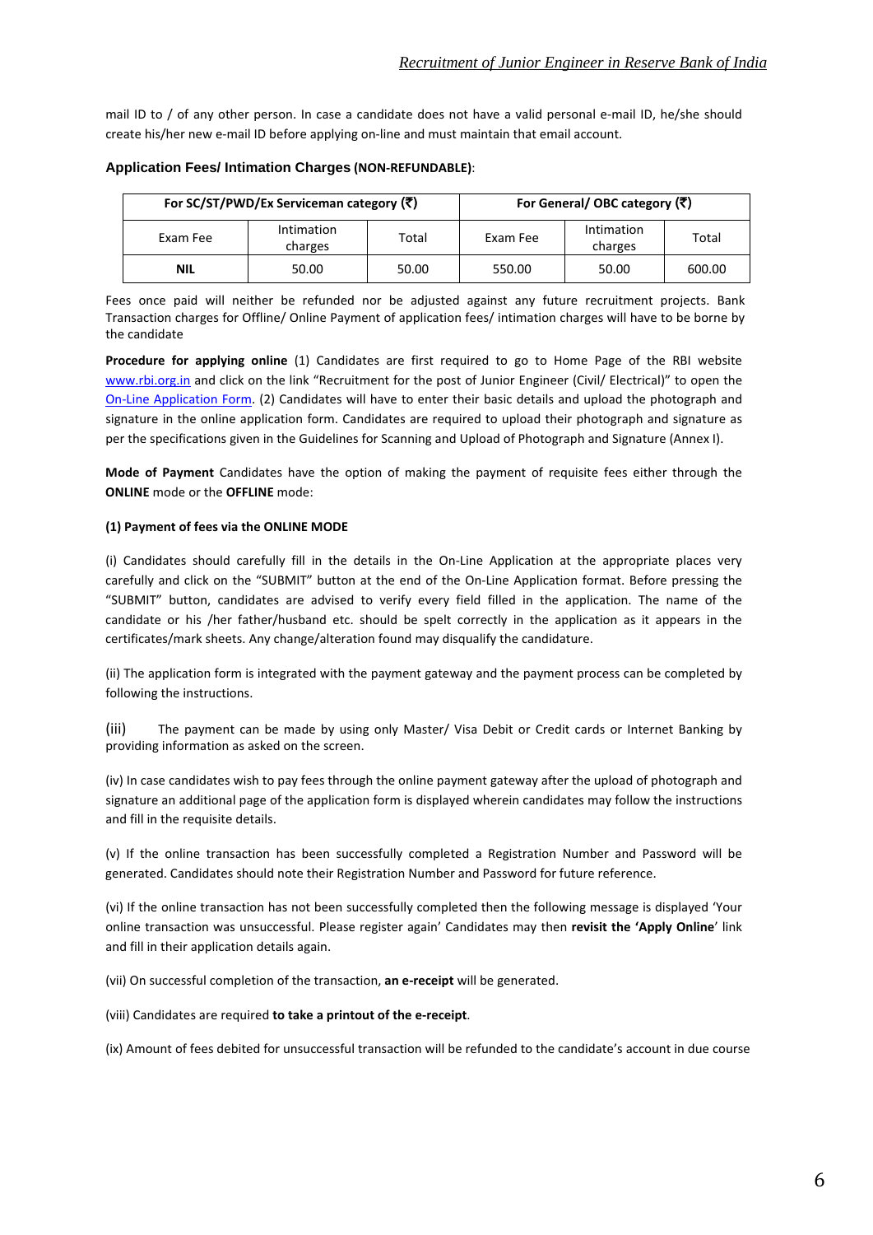mail ID to / of any other person. In case a candidate does not have a valid personal e-mail ID, he/she should create his/her new e‐mail ID before applying on‐line and must maintain that email account.

|            | For SC/ST/PWD/Ex Serviceman category (₹) | For General/ OBC category (₹) |          |                       |        |
|------------|------------------------------------------|-------------------------------|----------|-----------------------|--------|
| Exam Fee   | Intimation<br>charges                    | Total                         | Exam Fee | Intimation<br>charges | Total  |
| <b>NIL</b> | 50.00                                    | 50.00                         | 550.00   | 50.00                 | 600.00 |

## **Application Fees/ Intimation Charges (NON‐REFUNDABLE)**:

Fees once paid will neither be refunded nor be adjusted against any future recruitment projects. Bank Transaction charges for Offline/ Online Payment of application fees/ intimation charges will have to be borne by the candidate

**Procedure for applying online** (1) Candidates are first required to go to Home Page of the RBI website [www.rbi.org.in](http://www.rbi.org.in/) and click on the link "Recruitment for the post of Junior Engineer (Civil/ Electrical)" to open the On-Line [Application](http://ibpsreg.sifyitest.com/rbijejan14/) Form. (2) Candidates will have to enter their basic details and upload the photograph and signature in the online application form. Candidates are required to upload their photograph and signature as per the specifications given in the Guidelines for Scanning and Upload of Photograph and Signature (Annex I).

**Mode of Payment** Candidates have the option of making the payment of requisite fees either through the **ONLINE** mode or the **OFFLINE** mode:

## **(1) Payment of fees via the ONLINE MODE**

(i) Candidates should carefully fill in the details in the On‐Line Application at the appropriate places very carefully and click on the "SUBMIT" button at the end of the On‐Line Application format. Before pressing the "SUBMIT" button, candidates are advised to verify every field filled in the application. The name of the candidate or his /her father/husband etc. should be spelt correctly in the application as it appears in the certificates/mark sheets. Any change/alteration found may disqualify the candidature.

(ii) The application form is integrated with the payment gateway and the payment process can be completed by following the instructions.

(iii) The payment can be made by using only Master/ Visa Debit or Credit cards or Internet Banking by providing information as asked on the screen.

(iv) In case candidates wish to pay fees through the online payment gateway after the upload of photograph and signature an additional page of the application form is displayed wherein candidates may follow the instructions and fill in the requisite details.

(v) If the online transaction has been successfully completed a Registration Number and Password will be generated. Candidates should note their Registration Number and Password for future reference.

(vi) If the online transaction has not been successfully completed then the following message is displayed 'Your online transaction was unsuccessful. Please register again' Candidates may then **revisit the 'Apply Online**' link and fill in their application details again.

(vii) On successful completion of the transaction, an e-receipt will be generated.

(viii) Candidates are required **to take a printout of the e‐receipt**.

(ix) Amount of fees debited for unsuccessful transaction will be refunded to the candidate's account in due course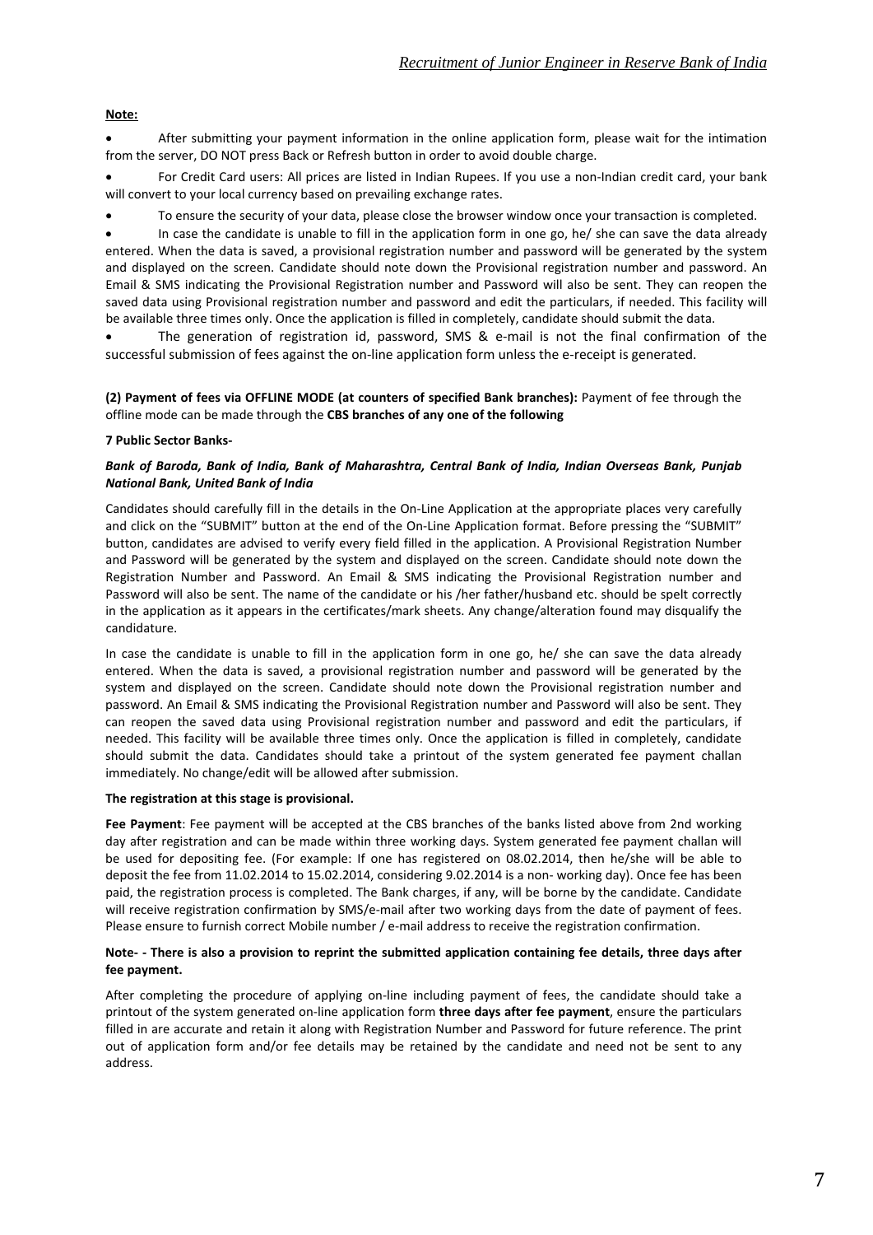# **Note:**

• After submitting your payment information in the online application form, please wait for the intimation from the server, DO NOT press Back or Refresh button in order to avoid double charge.

• For Credit Card users: All prices are listed in Indian Rupees. If you use a non‐Indian credit card, your bank will convert to your local currency based on prevailing exchange rates.

• To ensure the security of your data, please close the browser window once your transaction is completed.

• In case the candidate is unable to fill in the application form in one go, he/ she can save the data already entered. When the data is saved, a provisional registration number and password will be generated by the system and displayed on the screen. Candidate should note down the Provisional registration number and password. An Email & SMS indicating the Provisional Registration number and Password will also be sent. They can reopen the saved data using Provisional registration number and password and edit the particulars, if needed. This facility will be available three times only. Once the application is filled in completely, candidate should submit the data.

The generation of registration id, password, SMS & e-mail is not the final confirmation of the successful submission of fees against the on-line application form unless the e-receipt is generated.

#### **(2) Payment of fees via OFFLINE MODE (at counters of specified Bank branches):** Payment of fee through the offline mode can be made through the **CBS branches of any one of the following**

## **7 Public Sector Banks‐**

#### *Bank of Baroda, Bank of India, Bank of Maharashtra, Central Bank of India, Indian Overseas Bank, Punjab National Bank, United Bank of India*

Candidates should carefully fill in the details in the On‐Line Application at the appropriate places very carefully and click on the "SUBMIT" button at the end of the On‐Line Application format. Before pressing the "SUBMIT" button, candidates are advised to verify every field filled in the application. A Provisional Registration Number and Password will be generated by the system and displayed on the screen. Candidate should note down the Registration Number and Password. An Email & SMS indicating the Provisional Registration number and Password will also be sent. The name of the candidate or his /her father/husband etc. should be spelt correctly in the application as it appears in the certificates/mark sheets. Any change/alteration found may disqualify the candidature.

In case the candidate is unable to fill in the application form in one go, he/ she can save the data already entered. When the data is saved, a provisional registration number and password will be generated by the system and displayed on the screen. Candidate should note down the Provisional registration number and password. An Email & SMS indicating the Provisional Registration number and Password will also be sent. They can reopen the saved data using Provisional registration number and password and edit the particulars, if needed. This facility will be available three times only. Once the application is filled in completely, candidate should submit the data. Candidates should take a printout of the system generated fee payment challan immediately. No change/edit will be allowed after submission.

#### **The registration at this stage is provisional.**

**Fee Payment**: Fee payment will be accepted at the CBS branches of the banks listed above from 2nd working day after registration and can be made within three working days. System generated fee payment challan will be used for depositing fee. (For example: If one has registered on 08.02.2014, then he/she will be able to deposit the fee from 11.02.2014 to 15.02.2014, considering 9.02.2014 is a non-working day). Once fee has been paid, the registration process is completed. The Bank charges, if any, will be borne by the candidate. Candidate will receive registration confirmation by SMS/e-mail after two working days from the date of payment of fees. Please ensure to furnish correct Mobile number / e-mail address to receive the registration confirmation.

#### Note- - There is also a provision to reprint the submitted application containing fee details, three days after **fee payment.**

After completing the procedure of applying on-line including payment of fees, the candidate should take a printout of the system generated on‐line application form **three days after fee payment**, ensure the particulars filled in are accurate and retain it along with Registration Number and Password for future reference. The print out of application form and/or fee details may be retained by the candidate and need not be sent to any address.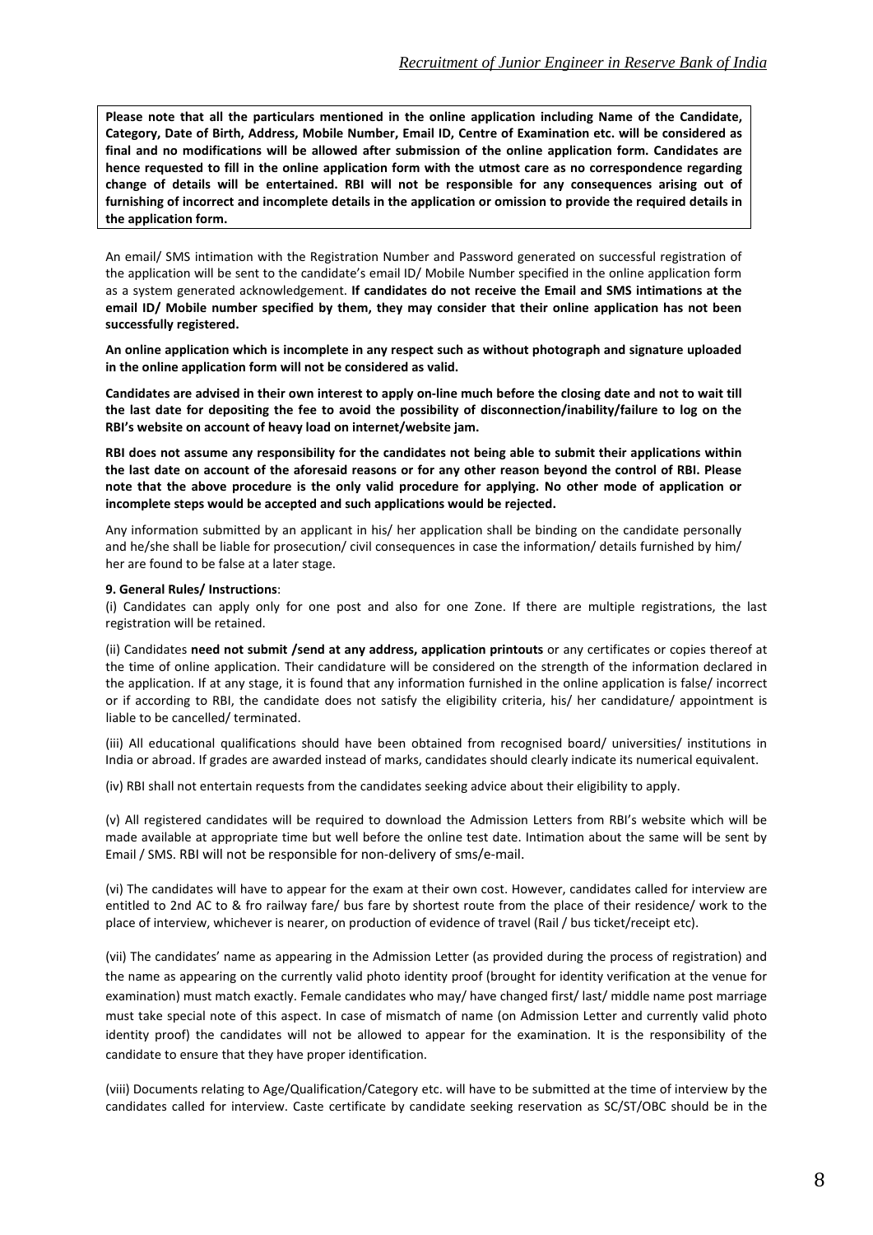**Please note that all the particulars mentioned in the online application including Name of the Candidate,** Category, Date of Birth, Address, Mobile Number, Email ID, Centre of Examination etc. will be considered as **final and no modifications will be allowed after submission of the online application form. Candidates are** hence requested to fill in the online application form with the utmost care as no correspondence regarding **change of details will be entertained. RBI will not be responsible for any consequences arising out of** furnishing of incorrect and incomplete details in the application or omission to provide the required details in **the application form.**

An email/ SMS intimation with the Registration Number and Password generated on successful registration of the application will be sent to the candidate's email ID/ Mobile Number specified in the online application form as a system generated acknowledgement. **If candidates do not receive the Email and SMS intimations at the email ID/ Mobile number specified by them, they may consider that their online application has not been successfully registered.**

**An online application which is incomplete in any respect such as without photograph and signature uploaded in the online application form will not be considered as valid.**

Candidates are advised in their own interest to apply on-line much before the closing date and not to wait till the last date for depositing the fee to avoid the possibility of disconnection/inability/failure to log on the **RBI's website on account of heavy load on internet/website jam.**

RBI does not assume any responsibility for the candidates not being able to submit their applications within the last date on account of the aforesaid reasons or for any other reason beyond the control of RBI. Please note that the above procedure is the only valid procedure for applying. No other mode of application or **incomplete steps would be accepted and such applications would be rejected.**

Any information submitted by an applicant in his/ her application shall be binding on the candidate personally and he/she shall be liable for prosecution/ civil consequences in case the information/ details furnished by him/ her are found to be false at a later stage.

#### **9. General Rules/ Instructions**:

(i) Candidates can apply only for one post and also for one Zone. If there are multiple registrations, the last registration will be retained.

(ii) Candidates **need not submit /send at any address, application printouts** or any certificates or copies thereof at the time of online application. Their candidature will be considered on the strength of the information declared in the application. If at any stage, it is found that any information furnished in the online application is false/ incorrect or if according to RBI, the candidate does not satisfy the eligibility criteria, his/ her candidature/ appointment is liable to be cancelled/ terminated.

(iii) All educational qualifications should have been obtained from recognised board/ universities/ institutions in India or abroad. If grades are awarded instead of marks, candidates should clearly indicate its numerical equivalent.

(iv) RBI shall not entertain requests from the candidates seeking advice about their eligibility to apply.

(v) All registered candidates will be required to download the Admission Letters from RBI's website which will be made available at appropriate time but well before the online test date. Intimation about the same will be sent by Email / SMS. RBI will not be responsible for non‐delivery of sms/e‐mail.

(vi) The candidates will have to appear for the exam at their own cost. However, candidates called for interview are entitled to 2nd AC to & fro railway fare/ bus fare by shortest route from the place of their residence/ work to the place of interview, whichever is nearer, on production of evidence of travel (Rail / bus ticket/receipt etc).

(vii) The candidates' name as appearing in the Admission Letter (as provided during the process of registration) and the name as appearing on the currently valid photo identity proof (brought for identity verification at the venue for examination) must match exactly. Female candidates who may/ have changed first/ last/ middle name post marriage must take special note of this aspect. In case of mismatch of name (on Admission Letter and currently valid photo identity proof) the candidates will not be allowed to appear for the examination. It is the responsibility of the candidate to ensure that they have proper identification.

(viii) Documents relating to Age/Qualification/Category etc. will have to be submitted at the time of interview by the candidates called for interview. Caste certificate by candidate seeking reservation as SC/ST/OBC should be in the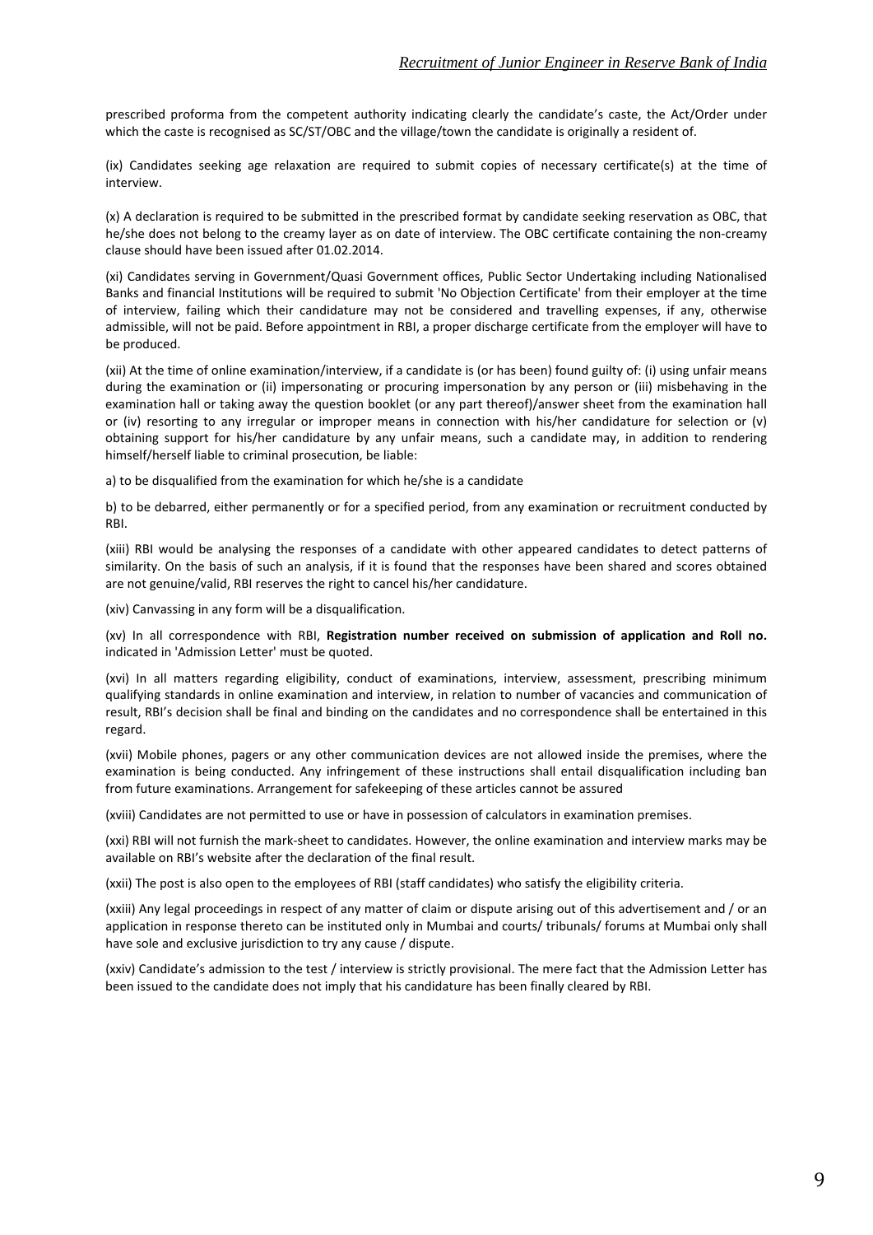prescribed proforma from the competent authority indicating clearly the candidate's caste, the Act/Order under which the caste is recognised as SC/ST/OBC and the village/town the candidate is originally a resident of.

(ix) Candidates seeking age relaxation are required to submit copies of necessary certificate(s) at the time of interview.

(x) A declaration is required to be submitted in the prescribed format by candidate seeking reservation as OBC, that he/she does not belong to the creamy layer as on date of interview. The OBC certificate containing the non-creamy clause should have been issued after 01.02.2014.

(xi) Candidates serving in Government/Quasi Government offices, Public Sector Undertaking including Nationalised Banks and financial Institutions will be required to submit 'No Objection Certificate' from their employer at the time of interview, failing which their candidature may not be considered and travelling expenses, if any, otherwise admissible, will not be paid. Before appointment in RBI, a proper discharge certificate from the employer will have to be produced.

(xii) At the time of online examination/interview, if a candidate is (or has been) found guilty of: (i) using unfair means during the examination or (ii) impersonating or procuring impersonation by any person or (iii) misbehaving in the examination hall or taking away the question booklet (or any part thereof)/answer sheet from the examination hall or (iv) resorting to any irregular or improper means in connection with his/her candidature for selection or (v) obtaining support for his/her candidature by any unfair means, such a candidate may, in addition to rendering himself/herself liable to criminal prosecution, be liable:

a) to be disqualified from the examination for which he/she is a candidate

b) to be debarred, either permanently or for a specified period, from any examination or recruitment conducted by RBI.

(xiii) RBI would be analysing the responses of a candidate with other appeared candidates to detect patterns of similarity. On the basis of such an analysis, if it is found that the responses have been shared and scores obtained are not genuine/valid, RBI reserves the right to cancel his/her candidature.

(xiv) Canvassing in any form will be a disqualification.

(xv) In all correspondence with RBI, **Registration number received on submission of application and Roll no.** indicated in 'Admission Letter' must be quoted.

(xvi) In all matters regarding eligibility, conduct of examinations, interview, assessment, prescribing minimum qualifying standards in online examination and interview, in relation to number of vacancies and communication of result, RBI's decision shall be final and binding on the candidates and no correspondence shall be entertained in this regard.

(xvii) Mobile phones, pagers or any other communication devices are not allowed inside the premises, where the examination is being conducted. Any infringement of these instructions shall entail disqualification including ban from future examinations. Arrangement for safekeeping of these articles cannot be assured

(xviii) Candidates are not permitted to use or have in possession of calculators in examination premises.

(xxi) RBI will not furnish the mark‐sheet to candidates. However, the online examination and interview marks may be available on RBI's website after the declaration of the final result.

(xxii) The post is also open to the employees of RBI (staff candidates) who satisfy the eligibility criteria.

(xxiii) Any legal proceedings in respect of any matter of claim or dispute arising out of this advertisement and / or an application in response thereto can be instituted only in Mumbai and courts/ tribunals/ forums at Mumbai only shall have sole and exclusive jurisdiction to try any cause / dispute.

(xxiv) Candidate's admission to the test / interview is strictly provisional. The mere fact that the Admission Letter has been issued to the candidate does not imply that his candidature has been finally cleared by RBI.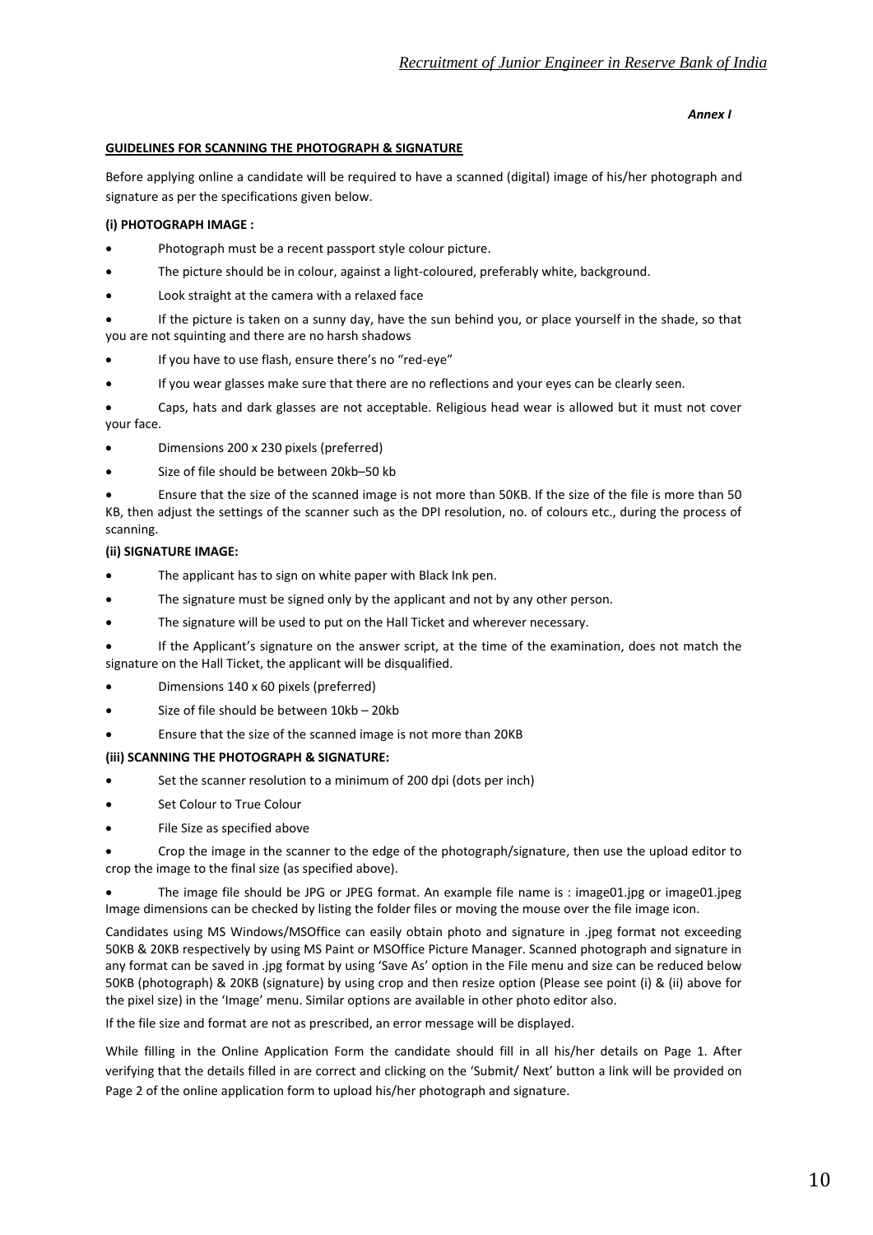#### *Annex I*

# **GUIDELINES FOR SCANNING THE PHOTOGRAPH & SIGNATURE**

Before applying online a candidate will be required to have a scanned (digital) image of his/her photograph and signature as per the specifications given below.

# **(i) PHOTOGRAPH IMAGE :**

- Photograph must be a recent passport style colour picture.
- The picture should be in colour, against a light-coloured, preferably white, background.
- Look straight at the camera with a relaxed face
- If the picture is taken on a sunny day, have the sun behind you, or place yourself in the shade, so that you are not squinting and there are no harsh shadows
- If you have to use flash, ensure there's no "red‐eye"
- If you wear glasses make sure that there are no reflections and your eyes can be clearly seen.
- Caps, hats and dark glasses are not acceptable. Religious head wear is allowed but it must not cover your face.
- Dimensions 200 x 230 pixels (preferred)
- Size of file should be between 20kb-50 kb

• Ensure that the size of the scanned image is not more than 50KB. If the size of the file is more than 50 KB, then adjust the settings of the scanner such as the DPI resolution, no. of colours etc., during the process of scanning.

# **(ii) SIGNATURE IMAGE:**

- The applicant has to sign on white paper with Black Ink pen.
- The signature must be signed only by the applicant and not by any other person.
- The signature will be used to put on the Hall Ticket and wherever necessary.
- If the Applicant's signature on the answer script, at the time of the examination, does not match the signature on the Hall Ticket, the applicant will be disqualified.
- Dimensions 140 x 60 pixels (preferred)
- Size of file should be between 10kb 20kb
- Ensure that the size of the scanned image is not more than 20KB

# **(iii) SCANNING THE PHOTOGRAPH & SIGNATURE:**

- Set the scanner resolution to a minimum of 200 dpi (dots per inch)
- Set Colour to True Colour
- File Size as specified above

• Crop the image in the scanner to the edge of the photograph/signature, then use the upload editor to crop the image to the final size (as specified above).

• The image file should be JPG or JPEG format. An example file name is : image01.jpg or image01.jpeg Image dimensions can be checked by listing the folder files or moving the mouse over the file image icon.

Candidates using MS Windows/MSOffice can easily obtain photo and signature in .jpeg format not exceeding 50KB & 20KB respectively by using MS Paint or MSOffice Picture Manager. Scanned photograph and signature in any format can be saved in .jpg format by using 'Save As' option in the File menu and size can be reduced below 50KB (photograph) & 20KB (signature) by using crop and then resize option (Please see point (i) & (ii) above for the pixel size) in the 'Image' menu. Similar options are available in other photo editor also.

If the file size and format are not as prescribed, an error message will be displayed.

While filling in the Online Application Form the candidate should fill in all his/her details on Page 1. After verifying that the details filled in are correct and clicking on the 'Submit/ Next' button a link will be provided on Page 2 of the online application form to upload his/her photograph and signature.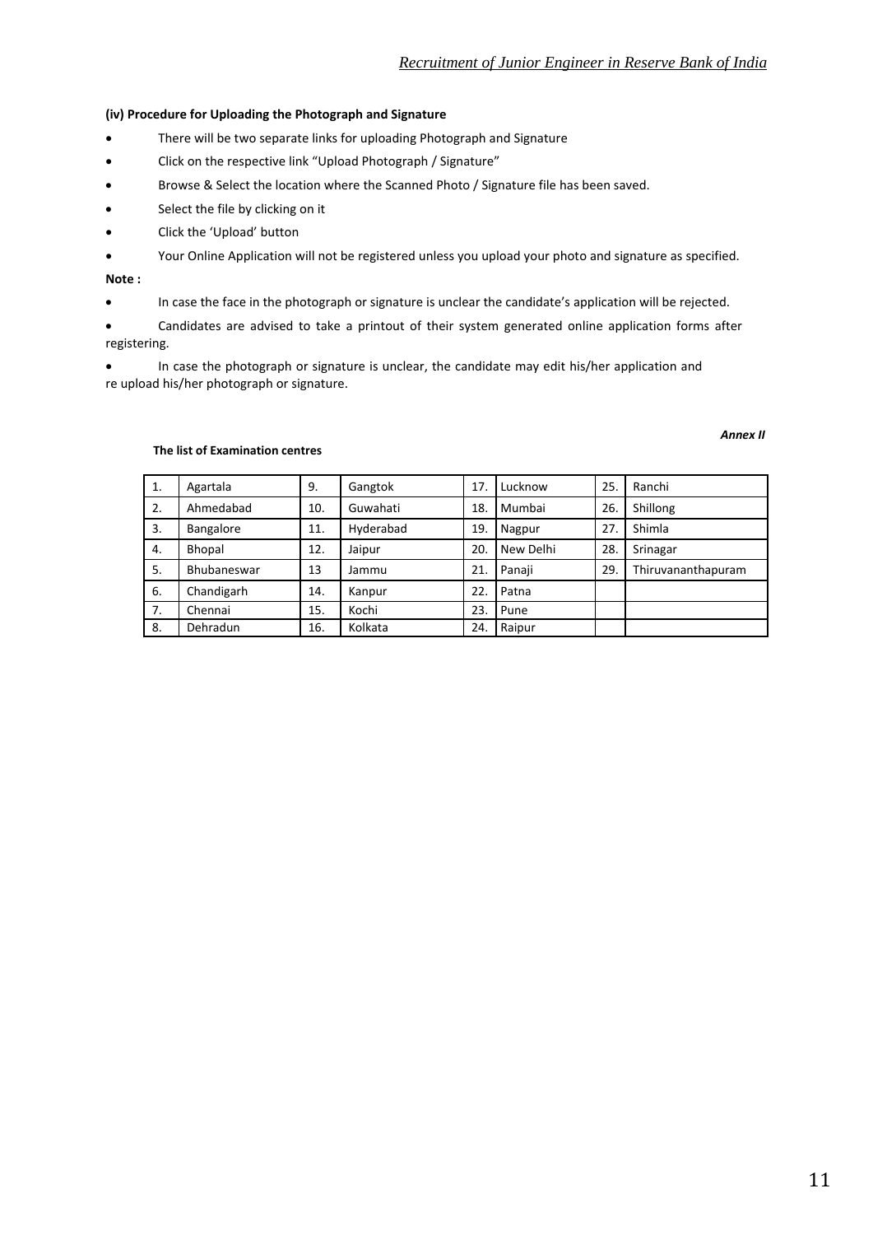#### **(iv) Procedure for Uploading the Photograph and Signature**

- There will be two separate links for uploading Photograph and Signature
- Click on the respective link "Upload Photograph / Signature"
- Browse & Select the location where the Scanned Photo / Signature file has been saved.
- Select the file by clicking on it
- Click the 'Upload' button
- Your Online Application will not be registered unless you upload your photo and signature as specified.

#### **Note :**

• In case the face in the photograph or signature is unclear the candidate's application will be rejected.

• Candidates are advised to take a printout of their system generated online application forms after registering.

• In case the photograph or signature is unclear, the candidate may edit his/her application and re upload his/her photograph or signature.

#### *Annex II*

#### **The list of Examination centres**

| 1. | Agartala    | 9.  | Gangtok   | 17  | Lucknow   | 25. | Ranchi             |
|----|-------------|-----|-----------|-----|-----------|-----|--------------------|
| 2. | Ahmedabad   | 10. | Guwahati  | 18. | Mumbai    | 26. | Shillong           |
| 3. | Bangalore   | 11. | Hyderabad | 19. | Nagpur    | 27. | Shimla             |
| 4. | Bhopal      | 12. | Jaipur    | 20. | New Delhi | 28. | Srinagar           |
| 5. | Bhubaneswar | 13  | Jammu     | 21. | Panaii    | 29. | Thiruvananthapuram |
| 6. | Chandigarh  | 14. | Kanpur    | 22. | Patna     |     |                    |
| 7. | Chennai     | 15. | Kochi     | 23. | Pune      |     |                    |
| 8. | Dehradun    | 16. | Kolkata   | 24. | Raipur    |     |                    |